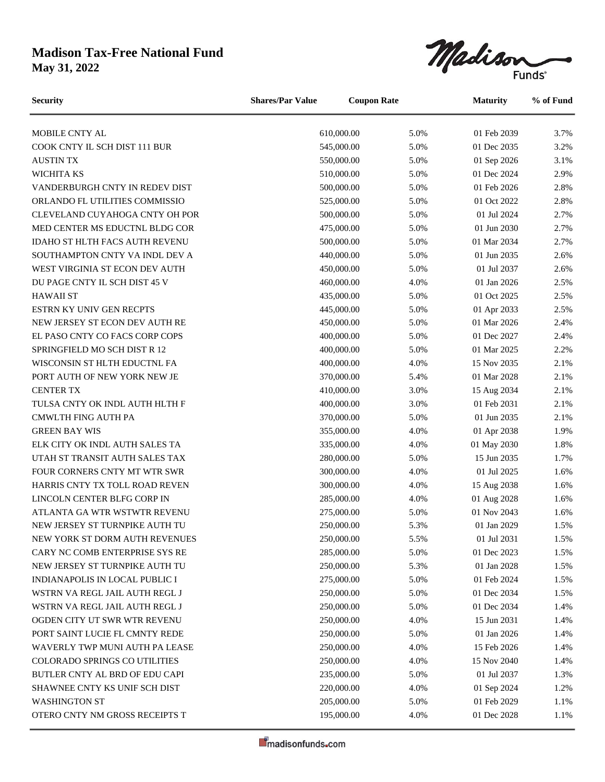## **Madison Tax-Free National Fund**

**May 31, 2022**



| <b>Security</b>                       | <b>Shares/Par Value</b><br><b>Coupon Rate</b> |            |      | <b>Maturity</b> | % of Fund |
|---------------------------------------|-----------------------------------------------|------------|------|-----------------|-----------|
| MOBILE CNTY AL                        |                                               | 610,000.00 | 5.0% | 01 Feb 2039     | 3.7%      |
| COOK CNTY IL SCH DIST 111 BUR         |                                               | 545,000.00 | 5.0% | 01 Dec 2035     | 3.2%      |
| <b>AUSTIN TX</b>                      |                                               | 550,000.00 | 5.0% | 01 Sep 2026     | 3.1%      |
| WICHITA KS                            |                                               | 510,000.00 | 5.0% | 01 Dec 2024     | 2.9%      |
| VANDERBURGH CNTY IN REDEV DIST        |                                               | 500,000.00 | 5.0% | 01 Feb 2026     | 2.8%      |
| ORLANDO FL UTILITIES COMMISSIO        |                                               | 525,000.00 | 5.0% | 01 Oct 2022     | 2.8%      |
| CLEVELAND CUYAHOGA CNTY OH POR        |                                               | 500,000.00 | 5.0% | 01 Jul 2024     | 2.7%      |
| MED CENTER MS EDUCTNL BLDG COR        |                                               | 475,000.00 | 5.0% | 01 Jun 2030     | 2.7%      |
| IDAHO ST HLTH FACS AUTH REVENU        |                                               | 500,000.00 | 5.0% | 01 Mar 2034     | 2.7%      |
| SOUTHAMPTON CNTY VA INDL DEV A        |                                               | 440,000.00 | 5.0% | 01 Jun 2035     | 2.6%      |
| WEST VIRGINIA ST ECON DEV AUTH        |                                               | 450,000.00 | 5.0% | 01 Jul 2037     | 2.6%      |
| DU PAGE CNTY IL SCH DIST 45 V         |                                               | 460,000.00 | 4.0% | 01 Jan 2026     | 2.5%      |
| <b>HAWAII ST</b>                      |                                               | 435,000.00 | 5.0% | 01 Oct 2025     | 2.5%      |
| ESTRN KY UNIV GEN RECPTS              |                                               | 445,000.00 | 5.0% | 01 Apr 2033     | 2.5%      |
| NEW JERSEY ST ECON DEV AUTH RE        |                                               | 450,000.00 | 5.0% | 01 Mar 2026     | 2.4%      |
| EL PASO CNTY CO FACS CORP COPS        |                                               | 400,000.00 | 5.0% | 01 Dec 2027     | 2.4%      |
| SPRINGFIELD MO SCH DIST R 12          |                                               | 400,000.00 | 5.0% | 01 Mar 2025     | 2.2%      |
| WISCONSIN ST HLTH EDUCTNL FA          |                                               | 400,000.00 | 4.0% | 15 Nov 2035     | 2.1%      |
| PORT AUTH OF NEW YORK NEW JE          |                                               | 370,000.00 | 5.4% | 01 Mar 2028     | 2.1%      |
| <b>CENTER TX</b>                      |                                               | 410,000.00 | 3.0% | 15 Aug 2034     | 2.1%      |
| TULSA CNTY OK INDL AUTH HLTH F        |                                               | 400,000.00 | 3.0% | 01 Feb 2031     | 2.1%      |
| <b>CMWLTH FING AUTH PA</b>            |                                               | 370,000.00 | 5.0% | 01 Jun 2035     | 2.1%      |
| <b>GREEN BAY WIS</b>                  |                                               | 355,000.00 | 4.0% | 01 Apr 2038     | 1.9%      |
| ELK CITY OK INDL AUTH SALES TA        |                                               | 335,000.00 | 4.0% | 01 May 2030     | 1.8%      |
| UTAH ST TRANSIT AUTH SALES TAX        |                                               | 280,000.00 | 5.0% | 15 Jun 2035     | 1.7%      |
| FOUR CORNERS CNTY MT WTR SWR          |                                               | 300,000.00 | 4.0% | 01 Jul 2025     | 1.6%      |
| HARRIS CNTY TX TOLL ROAD REVEN        |                                               | 300,000.00 | 4.0% | 15 Aug 2038     | 1.6%      |
| LINCOLN CENTER BLFG CORP IN           |                                               | 285,000.00 | 4.0% | 01 Aug 2028     | 1.6%      |
| ATLANTA GA WTR WSTWTR REVENU          |                                               | 275,000.00 | 5.0% | 01 Nov 2043     | 1.6%      |
| NEW JERSEY ST TURNPIKE AUTH TU        |                                               | 250,000.00 | 5.3% | 01 Jan 2029     | 1.5%      |
| NEW YORK ST DORM AUTH REVENUES        |                                               | 250,000.00 | 5.5% | 01 Jul 2031     | 1.5%      |
| CARY NC COMB ENTERPRISE SYS RE        |                                               | 285,000.00 | 5.0% | 01 Dec 2023     | 1.5%      |
| NEW JERSEY ST TURNPIKE AUTH TU        |                                               | 250,000.00 | 5.3% | 01 Jan 2028     | 1.5%      |
| <b>INDIANAPOLIS IN LOCAL PUBLIC I</b> |                                               | 275,000.00 | 5.0% | 01 Feb 2024     | 1.5%      |
| WSTRN VA REGL JAIL AUTH REGL J        |                                               | 250,000.00 | 5.0% | 01 Dec 2034     | 1.5%      |
| WSTRN VA REGL JAIL AUTH REGL J        |                                               | 250,000.00 | 5.0% | 01 Dec 2034     | 1.4%      |
| OGDEN CITY UT SWR WTR REVENU          |                                               | 250,000.00 | 4.0% | 15 Jun 2031     | 1.4%      |
| PORT SAINT LUCIE FL CMNTY REDE        |                                               | 250,000.00 | 5.0% | 01 Jan 2026     | 1.4%      |
| WAVERLY TWP MUNI AUTH PA LEASE        |                                               | 250,000.00 | 4.0% | 15 Feb 2026     | 1.4%      |
| <b>COLORADO SPRINGS CO UTILITIES</b>  |                                               | 250,000.00 | 4.0% | 15 Nov 2040     | 1.4%      |
| BUTLER CNTY AL BRD OF EDU CAPI        |                                               | 235,000.00 | 5.0% | 01 Jul 2037     | 1.3%      |
| SHAWNEE CNTY KS UNIF SCH DIST         |                                               | 220,000.00 | 4.0% | 01 Sep 2024     | 1.2%      |
| <b>WASHINGTON ST</b>                  |                                               | 205,000.00 | 5.0% | 01 Feb 2029     | 1.1%      |
| OTERO CNTY NM GROSS RECEIPTS T        |                                               | 195,000.00 | 4.0% | 01 Dec 2028     | 1.1%      |